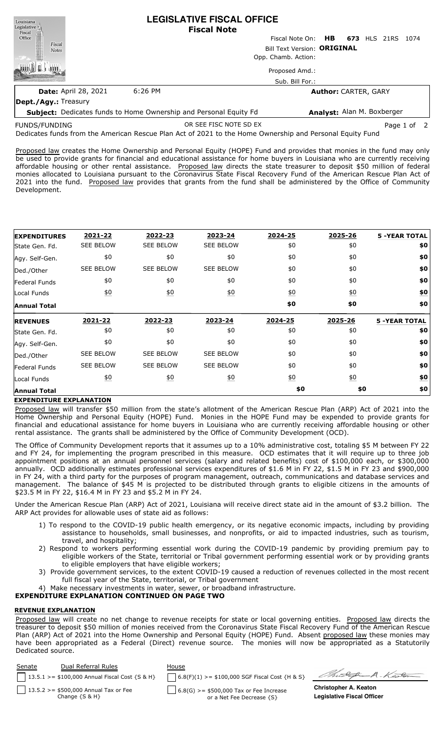| Louisiana<br>Legislative |                             |         | <b>LEGISLATIVE FISCAL OFFICE</b><br><b>Fiscal Note</b> |                                             |  |  |  |  |  |
|--------------------------|-----------------------------|---------|--------------------------------------------------------|---------------------------------------------|--|--|--|--|--|
| Fiscal<br>Office         |                             |         |                                                        | Fiscal Note On: <b>HB</b> 673 HLS 21RS 1074 |  |  |  |  |  |
| Fiscal<br><b>Notes</b>   |                             |         | Bill Text Version: ORIGINAL                            |                                             |  |  |  |  |  |
|                          |                             |         |                                                        | Opp. Chamb. Action:                         |  |  |  |  |  |
|                          |                             |         |                                                        | Proposed Amd.:                              |  |  |  |  |  |
|                          |                             |         |                                                        | Sub. Bill For.:                             |  |  |  |  |  |
|                          | <b>Date: April 28, 2021</b> | 6:26 PM |                                                        | <b>Author: CARTER, GARY</b>                 |  |  |  |  |  |
|                          |                             |         |                                                        |                                             |  |  |  |  |  |

**Dept./Agy.:** Treasury

**Subject:** Dedicates funds to Home Ownership and Personal Equity Fd **Analyst:** Alan M. Boxberger

FUNDS/FUNDING

OR SEE FISC NOTE SD EX Page 1 of 2

Dedicates funds from the American Rescue Plan Act of 2021 to the Home Ownership and Personal Equity Fund

Proposed law creates the Home Ownership and Personal Equity (HOPE) Fund and provides that monies in the fund may only be used to provide grants for financial and educational assistance for home buyers in Louisiana who are currently receiving affordable housing or other rental assistance. Proposed law directs the state treasurer to deposit \$50 million of federal monies allocated to Louisiana pursuant to the Coronavirus State Fiscal Recovery Fund of the American Rescue Plan Act of 2021 into the fund. Proposed law provides that grants from the fund shall be administered by the Office of Community Development.

| <b>EXPENDITURES</b>  | 2021-22          | 2022-23          | 2023-24           | 2024-25          | 2025-26          | <b>5 -YEAR TOTAL</b> |
|----------------------|------------------|------------------|-------------------|------------------|------------------|----------------------|
| State Gen. Fd.       | <b>SEE BELOW</b> | <b>SEE BELOW</b> | <b>SEE BELOW</b>  | \$0              | \$0              | \$0                  |
| Agy. Self-Gen.       | \$0              | \$0              | \$0               | \$0              | \$0              | \$0                  |
| Ded./Other           | <b>SEE BELOW</b> | <b>SEE BELOW</b> | <b>SEE BELOW</b>  | \$0              | \$0              | \$0                  |
| Federal Funds        | \$0              | \$0              | \$0               | \$0              | \$0              | \$0                  |
| Local Funds          | <u>\$0</u>       | 60               | 60                | 60               | 60               | $\underline{\$0}$    |
| <b>Annual Total</b>  |                  |                  |                   | \$0              | \$0              | \$0                  |
| <b>REVENUES</b>      | 2021-22          | 2022-23          | 2023-24           | 2024-25          | 2025-26          | <b>5 -YEAR TOTAL</b> |
| State Gen. Fd.       | \$0              | \$0              | \$0               | \$0              | \$0              | \$0                  |
| Agy. Self-Gen.       | \$0              | \$0              | \$0               | \$0              | \$0              | \$0                  |
| Ded./Other           | <b>SEE BELOW</b> | <b>SEE BELOW</b> | <b>SEE BELOW</b>  | \$0              | \$0              | \$0                  |
| <b>Federal Funds</b> | <b>SEE BELOW</b> | <b>SEE BELOW</b> | <b>SEE BELOW</b>  | \$0              | \$0              | \$0                  |
|                      | <u>\$0</u>       |                  |                   | $\underline{50}$ | $\underline{50}$ | \$0                  |
| Local Funds          |                  | 60               | $\underline{\$0}$ |                  |                  |                      |

### **EXPENDITURE EXPLANATION**

Proposed law will transfer \$50 million from the state's allotment of the American Rescue Plan (ARP) Act of 2021 into the Home Ownership and Personal Equity (HOPE) Fund. Monies in the HOPE Fund may be expended to provide grants for financial and educational assistance for home buyers in Louisiana who are currently receiving affordable housing or other rental assistance. The grants shall be administered by the Office of Community Development (OCD).

The Office of Community Development reports that it assumes up to a 10% administrative cost, totaling \$5 M between FY 22 and FY 24, for implementing the program prescribed in this measure. OCD estimates that it will require up to three job appointment positions at an annual personnel services (salary and related benefits) cost of \$100,000 each, or \$300,000 annually. OCD additionally estimates professional services expenditures of \$1.6 M in FY 22, \$1.5 M in FY 23 and \$900,000 in FY 24, with a third party for the purposes of program management, outreach, communications and database services and management. The balance of \$45 M is projected to be distributed through grants to eligible citizens in the amounts of \$23.5 M in FY 22, \$16.4 M in FY 23 and \$5.2 M in FY 24.

Under the American Rescue Plan (ARP) Act of 2021, Louisiana will receive direct state aid in the amount of \$3.2 billion. The ARP Act provides for allowable uses of state aid as follows:

- 1) To respond to the COVID-19 public health emergency, or its negative economic impacts, including by providing assistance to households, small businesses, and nonprofits, or aid to impacted industries, such as tourism, travel, and hospitality;
- 2) Respond to workers performing essential work during the COVID-19 pandemic by providing premium pay to eligible workers of the State, territorial or Tribal government performing essential work or by providing grants to eligible employers that have eligible workers;
- 3) Provide government services, to the extent COVID-19 caused a reduction of revenues collected in the most recent full fiscal year of the State, territorial, or Tribal government
- Make necessary investments in water, sewer, or broadband infrastructure.

# **EXPENDITURE EXPLANATION CONTINUED ON PAGE TWO**

### **REVENUE EXPLANATION**

Proposed law will create no net change to revenue receipts for state or local governing entities. Proposed law directs the treasurer to deposit \$50 million of monies received from the Coronavirus State Fiscal Recovery Fund of the American Rescue Plan (ARP) Act of 2021 into the Home Ownership and Personal Equity (HOPE) Fund. Absent proposed law these monies may have been appropriated as a Federal (Direct) revenue source. The monies will now be appropriated as a Statutorily Dedicated source.